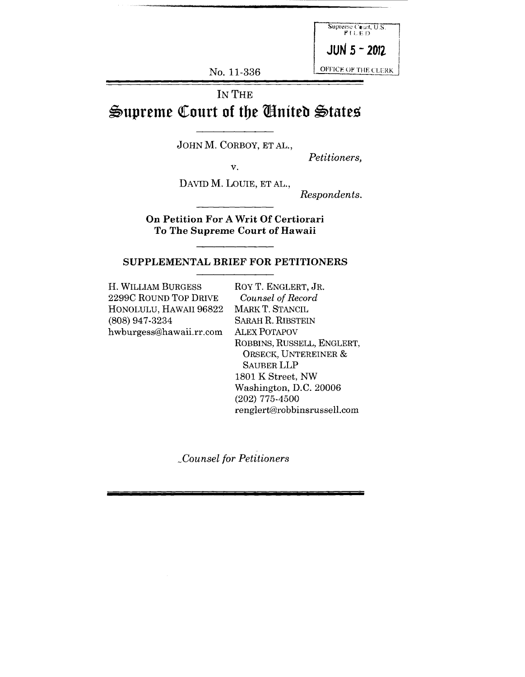| Supreme Ceast, U.S.<br>FILED |
|------------------------------|
| $JUN 5 - 2012$               |
| OFFICE OF THE CLERK          |

No. 11-336

IN THE

# $\mathfrak{S}$ upreme Court of the United States

JOHN M. CORBOY, ET AL.,

*Petitioners,*

V.

DAVID M. LOUIE, ET AL.,

*Respondents.*

**On Petition For A Writ Of Certiorari To The Supreme Court of Hawaii**

#### **SUPPLEMENTAL BRIEF FOR PETITIONERS**

| H. WILLIAM BURGESS      | ROY T. ENGLERT, JR.         |
|-------------------------|-----------------------------|
| 2299C ROUND TOP DRIVE   | Counsel of Record           |
| HONOLULU, HAWAII 96822  | <b>MARK T. STANCIL</b>      |
| (808) 947-3234          | <b>SARAH R. RIBSTEIN</b>    |
| hwburgess@hawaii.rr.com | <b>ALEX POTAPOV</b>         |
|                         | ROBBINS, RUSSELL, ENGLERT,  |
|                         | ORSECK, UNTEREINER &        |
|                         | <b>SAUBER LLP</b>           |
|                         | 1801 K Street, NW           |
|                         | Washington, D.C. 20006      |
|                         | $(202)$ 775-4500            |
|                         | renglert@robbinsrussell.com |

*\_..Counsel for Petitioners*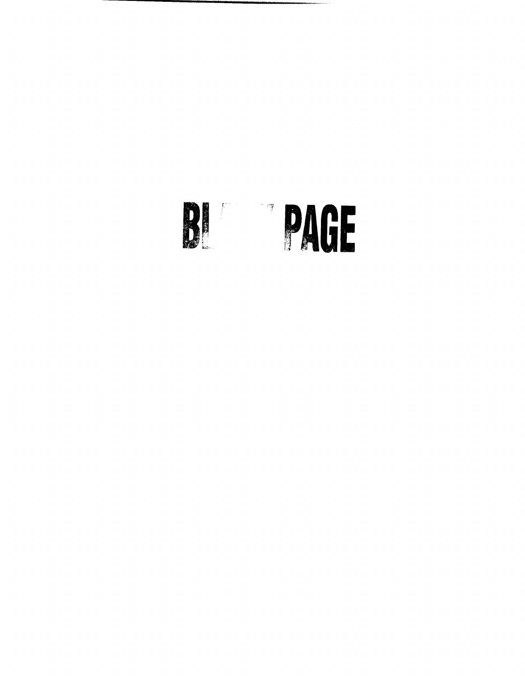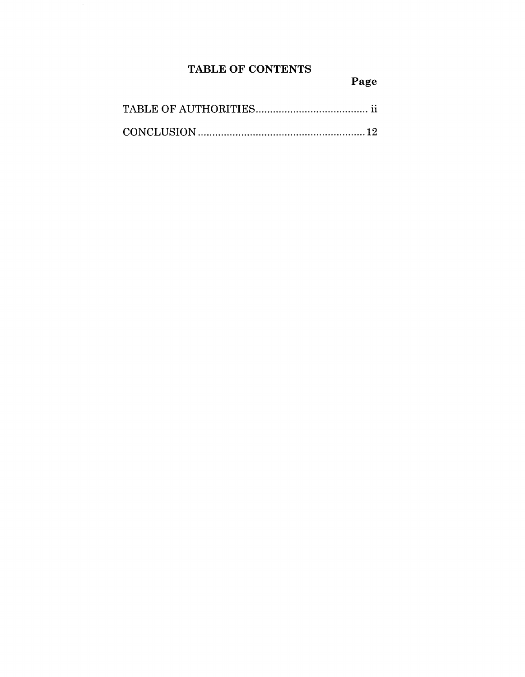#### TABLE OF CONTENTS

## **Page**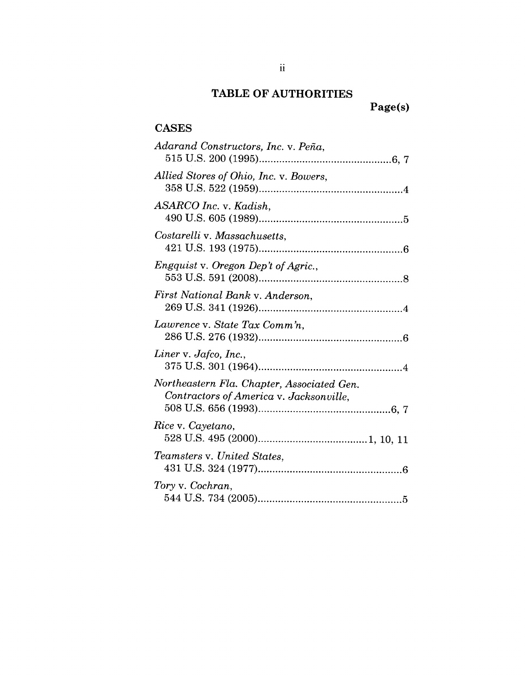## **TABLE OF AUTHORITIES**

**Page(s)**

## **CASES**

| Adarand Constructors, Inc. v. Peña,                                                   |
|---------------------------------------------------------------------------------------|
| Allied Stores of Ohio, Inc. v. Bowers,                                                |
| ASARCO Inc. v. Kadish,                                                                |
| Costarelli v. Massachusetts,                                                          |
| Engquist v. Oregon Dep't of Agric.,                                                   |
| First National Bank v. Anderson,                                                      |
| Lawrence v. State Tax Comm'n,                                                         |
| Liner v. Jafco, Inc.,                                                                 |
| Northeastern Fla. Chapter, Associated Gen.<br>Contractors of America v. Jacksonville, |
| Rice v. Cayetano,                                                                     |
| Teamsters v. United States,                                                           |
| Tory v. Cochran,                                                                      |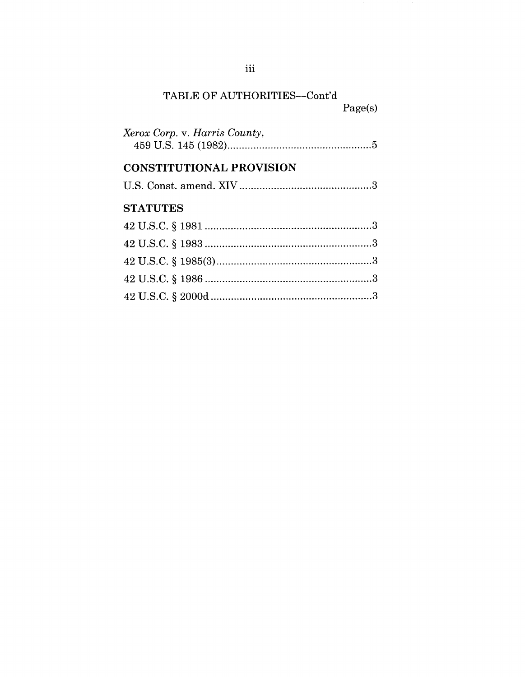# TABLE OF AUTHORITIES-Cont'd

Page(s)

| Xerox Corp. v. Harris County,   |  |
|---------------------------------|--|
| <b>CONSTITUTIONAL PROVISION</b> |  |
|                                 |  |
| <b>STATUTES</b>                 |  |
|                                 |  |
|                                 |  |
|                                 |  |
|                                 |  |
|                                 |  |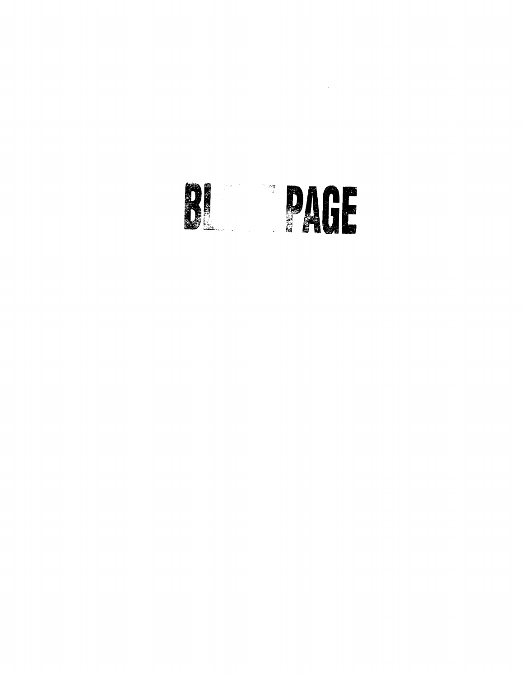# $\mathcal{L}^{\text{max}}_{\text{max}}$  , where  $\mathcal{L}^{\text{max}}_{\text{max}}$

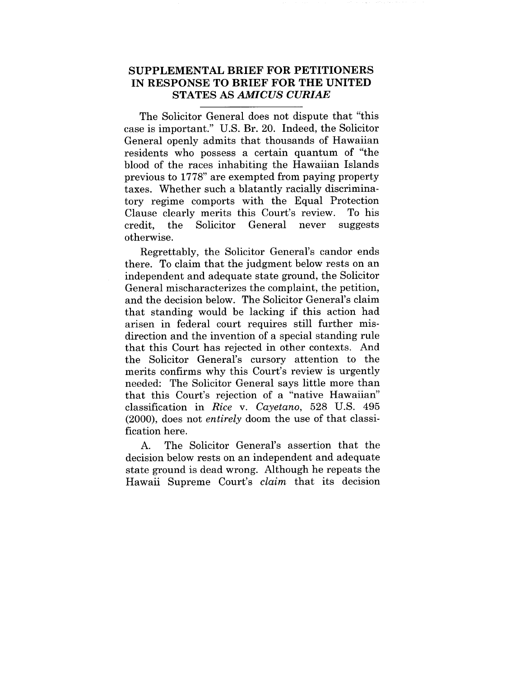#### **SUPPLEMENTAL BRIEF FOR PETITIONERS IN RESPONSE TO BRIEF FOR THE UNITED STATES** AS *AMICUS CURIAE*

The Solicitor General does not dispute that "this case is important." U.S. Br. 20. Indeed, the Solicitor General openly admits that thousands of Hawaiian residents who possess a certain quantum of "the blood of the races inhabiting the Hawaiian Islands previous to 1778" are exempted from paying property taxes. Whether such a blatantly racially discriminatory regime comports with the Equal Protection Clause clearly merits this Court's review. To his credit, the Solicitor General never suggests otherwise.

Regrettably, the Solicitor General's candor ends there. To claim that the judgment below rests on an independent and adequate state ground, the Solicitor General mischaracterizes the complaint, the petition, and the decision below. The Solicitor General's claim that standing would be lacking if this action had arisen in federal court requires still further misdirection and the invention of a special standing rule that this Court has rejected in other contexts. And the Solicitor General's cursory attention to the merits confirms why this Court's review is urgently needed: The Solicitor General says little more than that this Court's rejection of a "native Hawaiian" classification in *Rice v. Cayetano,* 528 U.S. 495 (2000), does not *entirely* doom the use of that classification here.

A. The Solicitor General's assertion that the decision below rests on an independent and adequate state ground is dead wrong. Although he repeats the Hawaii Supreme Court's *claim* that its decision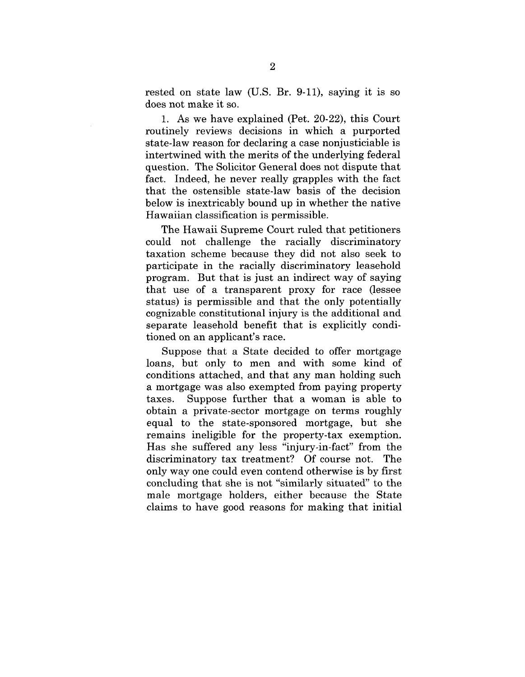rested on state law (U.S. Br. 9-11), saying it is so does not make it so.

1. As we have explained (Pet. 20-22), this Court routinely reviews decisions in which a purported state-law reason for declaring a case nonjusticiable is intertwined with the merits of the underlying federal question. The Solicitor General does not dispute that fact. Indeed, he never really grapples with the fact that the ostensible state-law basis of the decision below is inextricably bound up in whether the native Hawaiian classification is permissible.

The Hawaii Supreme Court ruled that petitioners could not challenge the racially discriminatory taxation scheme because they did not also seek to participate in the racially discriminatory leasehold program. But that is just an indirect way of saying that use of a transparent proxy for race (lessee status) is permissible and that the only potentially cognizable constitutional injury is the additional and separate leasehold benefit that is explicitly conditioned on an applicant's race.

Suppose that a State decided to offer mortgage loans, but only to men and with some kind of conditions attached, and that any man holding such a mortgage was also exempted from paying property taxes. Suppose further that a woman is able to obtain a private-sector mortgage on terms roughly equal to the state-sponsored mortgage, but she remains ineligible for the property-tax exemption. Has she suffered any less "injury-in-fact" from the discriminatory tax treatment? Of course not. The only way one could even contend otherwise is by first concluding that she is not "similarly situated" to the male mortgage holders, either because the State claims to have good reasons for making that initial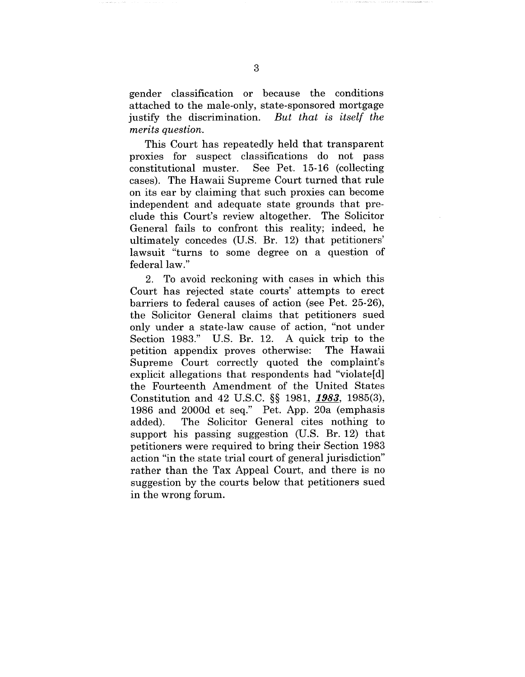gender classification or because the conditions attached to the male-only, state-sponsored mortgage justify the discrimination. *But that is itself the merits question.*

This Court has repeatedly held that transparent proxies for suspect classifications do not pass constitutional muster. See Pet. 15-16 (collecting cases). The Hawaii Supreme Court turned that rule on its ear by claiming that such proxies can become independent and adequate state grounds that preclude this Court's review altogether. The Solicitor General fails to confront this reality; indeed, he ultimately concedes (U.S. Br. 12) that petitioners' lawsuit "turns to some degree on a question of federal law."

2. To avoid reckoning with cases in which this Court has rejected state courts' attempts to erect barriers to federal causes of action (see Pet. 25-26), the Solicitor General claims that petitioners sued only under a state-law cause of action, "not under<br>Section 1983." U.S. Br. 12. A quick trip to the Section 1983." U.S. Br. 12. petition appendix proves otherwise: The Hawaii Supreme Court correctly quoted the complaint's explicit allegations that respondents had "violate[d] the Fourteenth Amendment of the United States Constitution and 42 U.S.C. §§ 1981, *1983,* 1985(3), 1986 and 2000d et seq." Pet. App. 20a (emphasis added). The Solicitor General cites nothing to support his passing suggestion (U.S. Br. 12) that petitioners were required to bring their Section 1983 action "in the state trial court of general jurisdiction" rather than the Tax Appeal Court, and there is no suggestion by the courts below that petitioners sued in the wrong forum.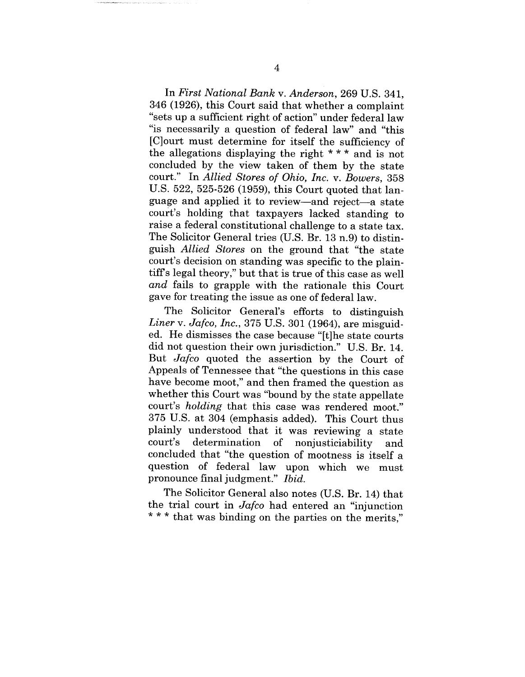In *First National Bank v. Anderson,* 269 U.S. 341, 346 (1926), this Court said that whether a complaint "sets up a sufficient right of action" under federal law "is necessarily a question of federal law" and "this [C]ourt must determine for itself the sufficiency of the allegations displaying the right  $**$  and is not concluded by the view taken of them by the state court." In *Allied Stores of Ohio, Inc. v. Bowers,* 358 U.S. 522, 525-526 (1959), this Court quoted that language and applied it to review-and reject-a state court's holding that taxpayers lacked standing to raise a federal constitutional challenge to a state tax. The Solicitor General tries (U.S. Br. 13 n.9) to distinguish *Allied Stores* on the ground that "the state court's decision on standing was specific to the plaintiffs legal theory," but that is true of this case as well *and* fails to grapple with the rationale this Court gave for treating the issue as one of federal law.

The Solicitor General's efforts to distinguish *Liner v. Jafco, Inc.,* 375 U.S. 301 (1964), are misguided. He dismisses the case because "It]he state courts did not question their own jurisdiction." U.S. Br. 14. But *Jafco* quoted the assertion by the Court of Appeals of Tennessee that "the questions in this case have become moot," and then framed the question as whether this Court was "bound by the state appellate court's *holding* that this case was rendered moot." 375 U.S. at 304 (emphasis added). This Court thus plainly understood that it was reviewing a state<br>court's determination of nonjusticiability and determination of nonjusticiability court's determination of nonjusticiability and<br>concluded that "the question of mootness is itself a question of federal law upon which we must pronounce final judgment." *Ibid.*

The Solicitor General also notes (U.S. Br. 14) that the trial court in *Jafco* had entered an "injunction \*\*\* that was binding on the parties on the merits,"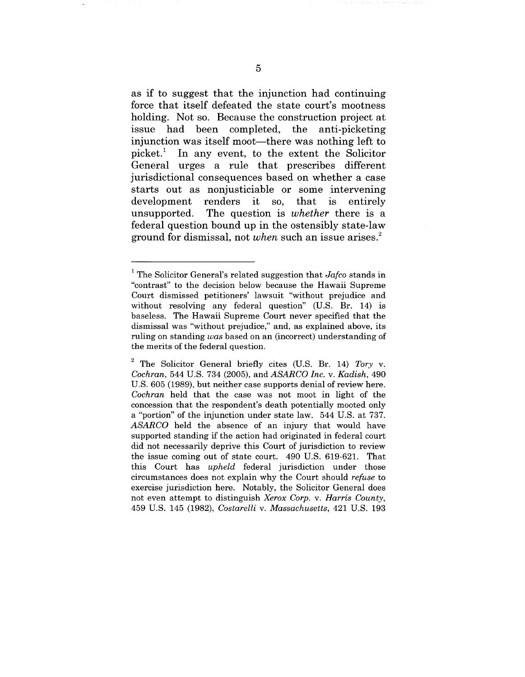as if to suggest that the injunction had continuing force that itself defeated the state court's mootness holding. Not so. Because the construction project at issue had been completed, the anti-picketing injunction was itself moot--there was nothing left to picket.<sup>1</sup> In any event, to the extent the Solicitor General urges a rule that prescribes different jurisdictional consequences based on whether a case starts out as nonjusticiable or some intervening development renders it so, that  $is$ entirely unsupported. The question is *whether* there is a federal question bound up in the ostensibly state-law ground for dismissal, not *when* such an issue arises.<sup>2</sup>

<sup>1</sup> The Solicitor General's related suggestion that *Jafco* stands in "contrast" to the decision below because the Hawaii Supreme Court dismissed petitioners' lawsuit "without prejudice and without resolving any federal question" (U.S. Br. 14) is baseless. The Hawaii Supreme Court never specified that the dismissal was "without prejudice," and, as explained above, its ruling on standing *was* based on an (incorrect) understanding of the merits of the federal question.

<sup>2</sup> The Solicitor General briefly cites (U.S. Br. 14) *Tory v. Cochran,* 544 U.S. 734 (2005), and *ASARCO Inc. v. Kadish,* 490 U.S. 605 (1989), but neither case supports denial of review here. *Cochran* held that the case was not moot in light of the concession that the respondent's death potentially mooted only a "portion" of the injunction under state law. 544 U.S. at 737. *ASARCO* held the absence of an injury that would have supported standing if the action had originated in federal court did not necessarily deprive this Court of jurisdiction to review the issue coming out of state court. 490 U.S. 619-621. That this Court has *upheld* federal jurisdiction under those circumstances does not explain why the Court should *refuse* to exercise jurisdiction here. Notably, the Solicitor General does not even attempt to distinguish *Xerox Corp. v. Harris County,* 459 U.S. 145 (1982), *Costarelli v. Massachusetts,* 421 U.S. 193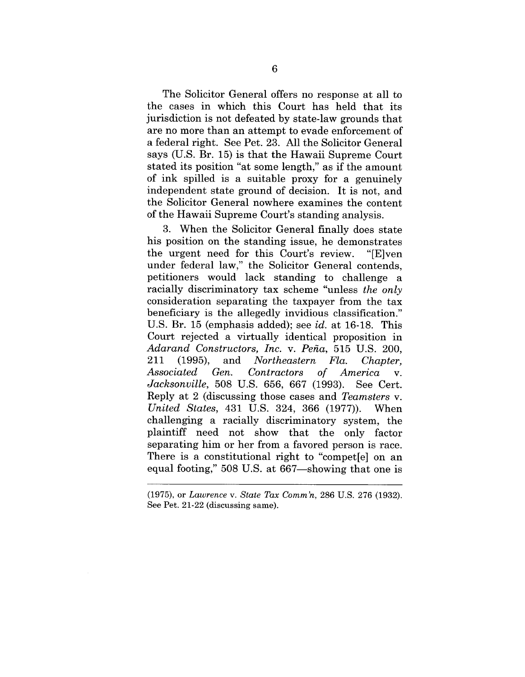The Solicitor General offers no response at all to the cases in which this Court has held that its jurisdiction is not defeated by state-law grounds that are no more than an attempt to evade enforcement of a federal right. See Pet. 23. All the Solicitor General says (U.S. Br. 15) is that the Hawaii Supreme Court stated its position "at some length," as if the amount of ink spilled is a suitable proxy for a genuinely independent state ground of decision. It is not, and the Solicitor General nowhere examines the content of the Hawaii Supreme Court's standing analysis.

3. When the Solicitor General finally does state his position on the standing issue, he demonstrates the urgent need for this Court's review. "[E]ven under federal law," the Solicitor General contends, petitioners would lack standing to challenge a racially discriminatory tax scheme "unless *the only* consideration separating the taxpayer from the tax beneficiary is the allegedly invidious classification." U.S. Br. 15 (emphasis added); see *id.* at 16-18. This Court rejected a virtually identical proposition in Adarand Constructors, Inc. v. Peña, 515 U.S. 200, 211 (1995), and *Northeastern Fla. Chapter, Associated Gen. Contractors of America v. Jacksonville,* 508 U.S. 656, 667 (1993). See Cert. Reply at 2 (discussing those cases and *Teamsters v. United States,* 431 U.S. 324, 366 (1977)). When challenging a racially discriminatory system, the plaintiff need not show that the only factor separating him or her from a favored person is race. There is a constitutional right to "compet[e] on an equal footing," 508 U.S. at 667—showing that one is

<sup>(1975),</sup> or *Lawrence v. State Tax Comm'n,* 286 U.S. 276 (1932). See Pet. 21-22 (discussing same).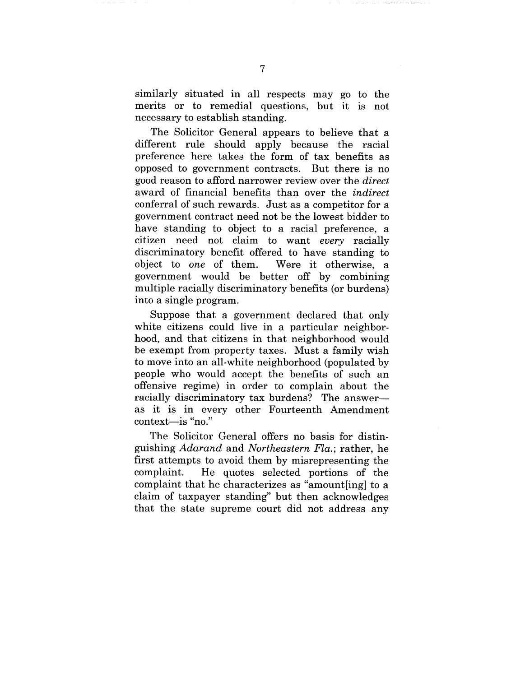similarly situated in all respects may go to the merits or to remedial questions, but it is not necessary to establish standing.

The Solicitor General appears to believe that a different rule should apply because the racial preference here takes the form of tax benefits as opposed to government contracts. But there is no good reason to afford narrower review over the *direct* award of financial benefits than over the *indirect* conferral of such rewards. Just as a competitor for a government contract need not be the lowest bidder to have standing to object to a racial preference, a citizen need not claim to want *every* racially discriminatory benefit offered to have standing to object to *one* of them. Were it otherwise, a government would be better off by combining multiple racially discriminatory benefits (or burdens) into a single program.

Suppose that a government declared that only white citizens could live in a particular neighborhood, and that citizens in that neighborhood would be exempt from property taxes. Must a family wish to move into an all-white neighborhood (populated by people who would accept the benefits of such an offensive regime) in order to complain about the racially discriminatory tax burdens? The answeras it is in every other Fourteenth Amendment  $context$ —is "no."

The Solicitor General offers no basis for distinguishing *Adarand* and *Northeastern Fla.;* rather, he first attempts to avoid them by misrepresenting the complaint. He quotes selected portions of the complaint that he characterizes as "amount[ing] to a claim of taxpayer standing" but then acknowledges that the state supreme court did not address any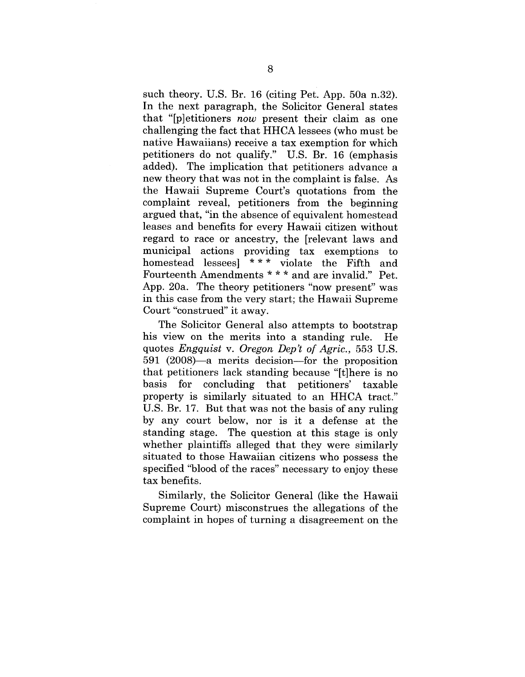such theory. U.S. Br. 16 (citing Pet. App. 50a n.32). In the next paragraph, the Solicitor General states that "[p]etitioners *now* present their claim as one challenging the fact that HHCA lessees (who must be native Hawaiians) receive a tax exemption for which petitioners do not qualify." U.S. Br. 16 (emphasis added). The implication that petitioners advance a new theory that was not in the complaint is false. As the Hawaii Supreme Court's quotations from the complaint reveal, petitioners from the beginning argued that, "in the absence of equivalent homestead leases and benefits for every Hawaii citizen without regard to race or ancestry, the [relevant laws and municipal actions providing tax exemptions to homestead lessees] \*\*\* violate the Fifth and Fourteenth Amendments \* \* \* and are invalid." Pet. App. 20a. The theory petitioners "now present" was in this case from the very start; the Hawaii Supreme Court "construed" it away.

The Solicitor General also attempts to bootstrap his view on the merits into a standing rule. He quotes *Engquist v. Oregon Dep't of Agric.,* 553 U.S. 591 (2008)—a merits decision—for the proposition that petitioners lack standing because "[t]here is no basis for concluding that petitioners' taxable property is similarly situated to an HHCA tract." U.S. Br. 17. But that was not the basis of any ruling by any court below, nor is it a defense at the standing stage. The question at this stage is only whether plaintiffs alleged that they were similarly situated to those Hawaiian citizens who possess the specified "blood of the races" necessary to enjoy these tax benefits.

Similarly, the Solicitor General (like the Hawaii Supreme Court) misconstrues the allegations of the complaint in hopes of turning a disagreement on the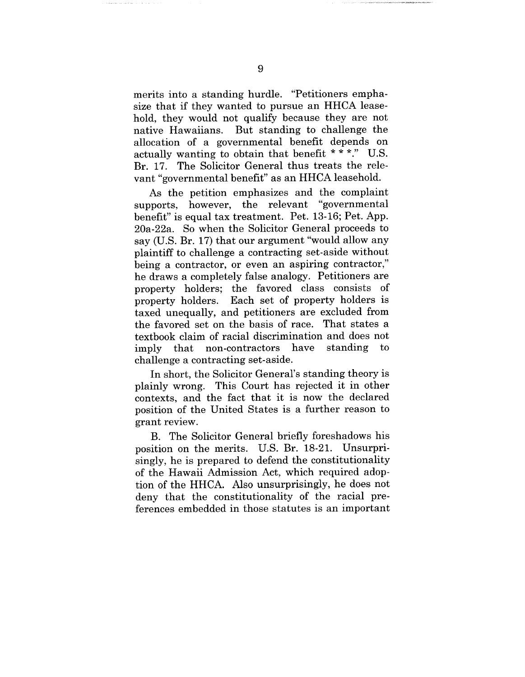merits into a standing hurdle. "Petitioners emphasize that if they wanted to pursue an HHCA leasehold, they would not qualify because they are not native Hawaiians. But standing to challenge the allocation of a governmental benefit depends on actually wanting to obtain that benefit  $* * *$ ." U.S. Br. 17. The Solicitor General thus treats the relevant "governmental benefit" as an HHCA leasehold.

As the petition emphasizes and the complaint supports, however, the relevant "governmental benefit" is equal tax treatment. Pet. 13-16; Pet. App. 20a-22a. So when the Solicitor General proceeds to say (U.S. Br. 17) that our argument "would allow any plaintiff to challenge a contracting set-aside without being a contractor, or even an aspiring contractor," he draws a completely false analogy. Petitioners are property holders; the favored class consists of property holders. Each set of property holders is taxed unequally, and petitioners are excluded from the favored set on the basis of race. That states a textbook claim of racial discrimination and does not imply that non-contractors challenge a contracting set-aside.

In short, the Solicitor General's standing theory is plainly wrong. This Court has rejected it in other contexts, and the fact that it is now the declared position of the United States is a further reason to grant review.

B. The Solicitor General briefly foreshadows his position on the merits. U.S. Br. 18-21. Unsurprisingly, he is prepared to defend the constitutionality of the Hawaii Admission Act, which required adoption of the HHCA. Also unsurprisingly, he does not deny that the constitutionality of the racial preferences embedded in those statutes is an important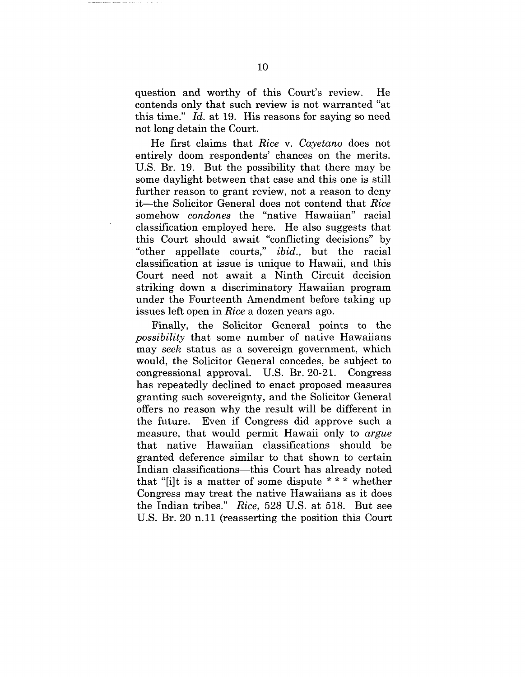question and worthy of this Court's review. He contends only that such review is not warranted "at this time." *Id.* at 19. His reasons for saying so need not long detain the Court.

He first claims that *Rice v. Cayetano* does not entirely doom respondents' chances on the merits. U.S. Br. 19. But the possibility that there may be some daylight between that case and this one is still further reason to grant review, not a reason to deny it--the Solicitor General does not contend that *Rice* somehow *condones* the "native Hawaiian" racial classification employed here. He also suggests that this Court should await "conflicting decisions" by "other appellate courts," *ibid.,* but the racial classification at issue is unique to Hawaii, and this Court need not await a Ninth Circuit decision striking down a discriminatory Hawaiian program under the Fourteenth Amendment before taking up issues left open in *Rice* a dozen years ago.

Finally, the Solicitor General points to the *possibility* that some number of native Hawaiians may *seek* status as a sovereign government, which would, the Solicitor General concedes, be subject to congressional approval. U.S. Br. 20-21. Congress has repeatedly declined to enact proposed measures granting such sovereignty, and the Solicitor General offers no reason why the result will be different in the future. Even if Congress did approve such a measure, that would permit Hawaii only to *argue* that native Hawaiian classifications should be granted deference similar to that shown to certain Indian classifications--this Court has already noted that "[i]t is a matter of some dispute \* \* \* whether Congress may treat the native Hawaiians as it does the Indian tribes." *Rice,* 528 U.S. at 518. But see U.S. Br. 20 n.ll (reasserting the position this Court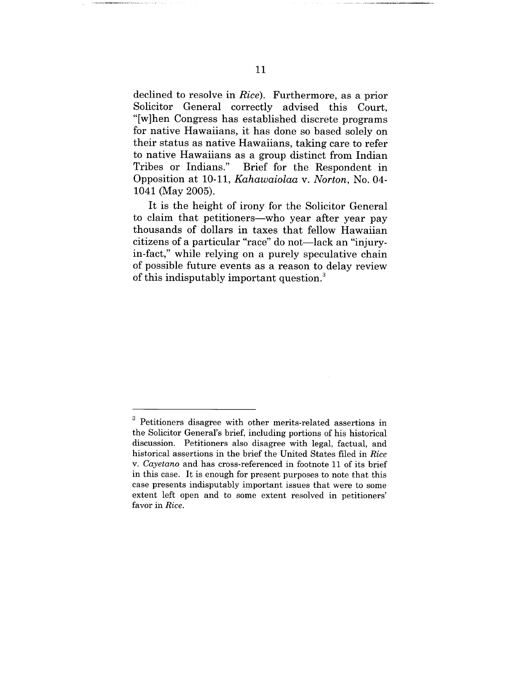declined to resolve in *Rice).* Furthermore, as a prior Solicitor General correctly advised this Court, "[w]hen Congress has established discrete programs for native Hawaiians, it has done so based solely on their status as native Hawaiians, taking care to refer to native Hawaiians as a group distinct from Indian Brief for the Respondent in Opposition at 10-11, *Kahawaiolaa v. Norton,* No. 04- 1041 (May 2005).

It is the height of irony for the Solicitor General to claim that petitioners—who year after year pay thousands of dollars in taxes that fellow Hawaiian citizens of a particular "race" do not-lack an "injuryin-fact," while relying on a purely speculative chain of possible future events as a reason to delay review of this indisputably important question.<sup>3</sup>

<sup>3</sup> Petitioners disagree with other merits-related assertions in the Solicitor General's brief, including portions of his historical discussion. Petitioners also disagree with legal, factual, and historical assertions in the brief the United States filed in *Rice v. Cayetano* and has cross-referenced in footnote 11 of its brief in this case. It is enough for present purposes to note that this case presents indisputably important issues that were to some extent left open and to some extent resolved in petitioners' favor in *Rice.*